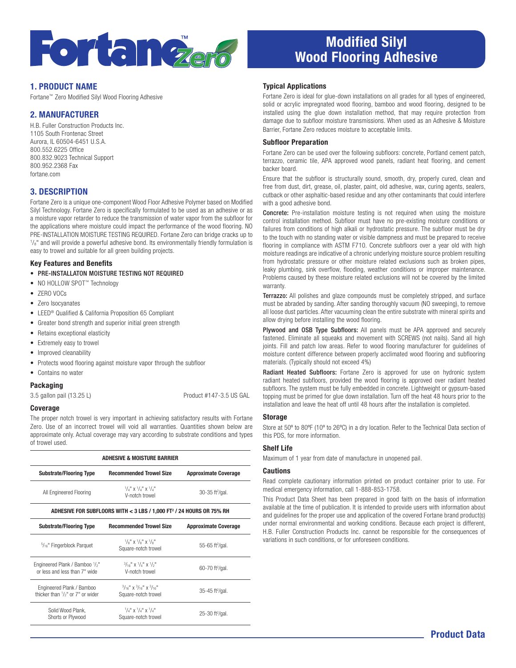

### 1. PRODUCT NAME

Fortane™ Zero Modified Silyl Wood Flooring Adhesive

### 2. MANUFACTURER

H.B. Fuller Construction Products Inc. 1105 South Frontenac Street Aurora, IL 60504-6451 U.S.A. 800.552.6225 Office 800.832.9023 Technical Support 800.952.2368 Fax fortane.com

### 3. DESCRIPTION

Fortane Zero is a unique one-component Wood Floor Adhesive Polymer based on Modified Silyl Technology. Fortane Zero is specifically formulated to be used as an adhesive or as a moisture vapor retarder to reduce the transmission of water vapor from the subfloor for the applications where moisture could impact the performance of the wood flooring. NO PRE-INSTALLATION MOISTURE TESTING REQUIRED. Fortane Zero can bridge cracks up to  $1/s$ " and will provide a powerful adhesive bond. Its environmentally friendly formulation is easy to trowel and suitable for all green building projects.

#### Key Features and Benefits

• PRE-INSTALLATON MOISTURE TESTING NOT REQUIRED

- NO HOLLOW SPOT™ Technology
- ZERO VOCs
- Zero Isocyanates
- LEED® Qualified & California Proposition 65 Compliant
- Greater bond strength and superior initial green strength
- Retains exceptional elasticity
- Extremely easy to trowel
- Improved cleanability
- Protects wood flooring against moisture vapor through the subfloor
- Contains no water

### Packaging

3.5 gallon pail (13.25 L) Product #147-3.5 US GAL

#### Coverage

The proper notch trowel is very important in achieving satisfactory results with Fortane Zero. Use of an incorrect trowel will void all warranties. Quantities shown below are approximate only. Actual coverage may vary according to substrate conditions and types of trowel used.

| ADHESIVE & MOISTURE BARRIER                                                      |                                                                                                                          |                               |  |
|----------------------------------------------------------------------------------|--------------------------------------------------------------------------------------------------------------------------|-------------------------------|--|
| <b>Substrate/Flooring Type</b>                                                   | <b>Recommended Trowel Size</b>                                                                                           | <b>Approximate Coverage</b>   |  |
| All Engineered Flooring                                                          | $\frac{1}{4}$ $\frac{1}{4}$ $\frac{1}{4}$ $\frac{1}{4}$ $\frac{1}{4}$ $\frac{1}{4}$ $\frac{1}{4}$<br>V-notch trowel      | 30-35 ft <sup>2</sup> /gal.   |  |
| ADHESIVE FOR SUBFLOORS WITH < 3 LBS / 1,000 FT <sup>2</sup> / 24 HOURS OR 75% RH |                                                                                                                          |                               |  |
| <b>Substrate/Flooring Type</b>                                                   | <b>Recommended Trowel Size</b>                                                                                           | <b>Approximate Coverage</b>   |  |
| $5/16$ " Fingerblock Parquet                                                     | $\frac{1}{8}$ " x $\frac{1}{8}$ " x $\frac{1}{8}$ "<br>Square-notch trowel                                               | 55-65 ft $^{2}$ /gal.         |  |
| Engineered Plank / Bamboo 1/2"<br>or less and less than 7" wide                  | $\frac{3}{16}$ " x $\frac{1}{4}$ " x $\frac{1}{5}$ "<br>V-notch trowel                                                   | $60-70$ ft <sup>2</sup> /gal. |  |
| Engineered Plank / Bamboo<br>thicker than $1/2$ " or $7$ " or wider              | $3/16$ " X $3/16$ " X $3/16$ "<br>Square-notch trowel                                                                    | 35-45 ft <sup>2</sup> /gal.   |  |
| Solid Wood Plank,<br>Shorts or Plywood                                           | $\frac{1}{4}$ $\frac{1}{4}$ $\frac{1}{4}$ $\frac{1}{4}$ $\frac{1}{4}$ $\frac{1}{4}$ $\frac{1}{4}$<br>Square-notch trowel | 25-30 ft <sup>2</sup> /gal.   |  |

# Modified Silyl Wood Flooring Adhesive

#### Typical Applications

Fortane Zero is ideal for glue-down installations on all grades for all types of engineered, solid or acrylic impregnated wood flooring, bamboo and wood flooring, designed to be installed using the glue down installation method, that may require protection from damage due to subfloor moisture transmissions. When used as an Adhesive & Moisture Barrier, Fortane Zero reduces moisture to acceptable limits.

#### Subfloor Preparation

Fortane Zero can be used over the following subfloors: concrete, Portland cement patch, terrazzo, ceramic tile, APA approved wood panels, radiant heat flooring, and cement backer board.

Ensure that the subfloor is structurally sound, smooth, dry, properly cured, clean and free from dust, dirt, grease, oil, plaster, paint, old adhesive, wax, curing agents, sealers, cutback or other asphaltic-based residue and any other contaminants that could interfere with a good adhesive bond.

Concrete: Pre-installation moisture testing is not required when using the moisture control installation method. Subfloor must have no pre-existing moisture conditions or failures from conditions of high alkali or hydrostatic pressure. The subfloor must be dry to the touch with no standing water or visible dampness and must be prepared to receive flooring in compliance with ASTM F710. Concrete subfloors over a year old with high moisture readings are indicative of a chronic underlying moisture source problem resulting from hydrostatic pressure or other moisture related exclusions such as broken pipes, leaky plumbing, sink overflow, flooding, weather conditions or improper maintenance. Problems caused by these moisture related exclusions will not be covered by the limited warranty.

Terrazzo: All polishes and glaze compounds must be completely stripped, and surface must be abraded by sanding. After sanding thoroughly vacuum (NO sweeping), to remove all loose dust particles. After vacuuming clean the entire substrate with mineral spirits and allow drying before installing the wood flooring.

Plywood and OSB Type Subfloors: All panels must be APA approved and securely fastened. Eliminate all squeaks and movement with SCREWS (not nails). Sand all high joints. Fill and patch low areas. Refer to wood flooring manufacturer for guidelines of moisture content difference between properly acclimated wood flooring and subflooring materials. (Typically should not exceed 4%)

Radiant Heated Subfloors: Fortane Zero is approved for use on hydronic system radiant heated subfloors, provided the wood flooring is approved over radiant heated subfloors. The system must be fully embedded in concrete. Lightweight or gypsum-based topping must be primed for glue down installation. Turn off the heat 48 hours prior to the installation and leave the heat off until 48 hours after the installation is completed.

#### **Storage**

Store at 50º to 80ºF (10º to 26ºC) in a dry location. Refer to the Technical Data section of this PDS, for more information.

#### Shelf Life

Maximum of 1 year from date of manufacture in unopened pail.

#### Cautions

Read complete cautionary information printed on product container prior to use. For medical emergency information, call 1-888-853-1758.

This Product Data Sheet has been prepared in good faith on the basis of information available at the time of publication. It is intended to provide users with information about and guidelines for the proper use and application of the covered Fortane brand product(s) under normal environmental and working conditions. Because each project is different, H.B. Fuller Construction Products Inc. cannot be responsible for the consequences of variations in such conditions, or for unforeseen conditions.